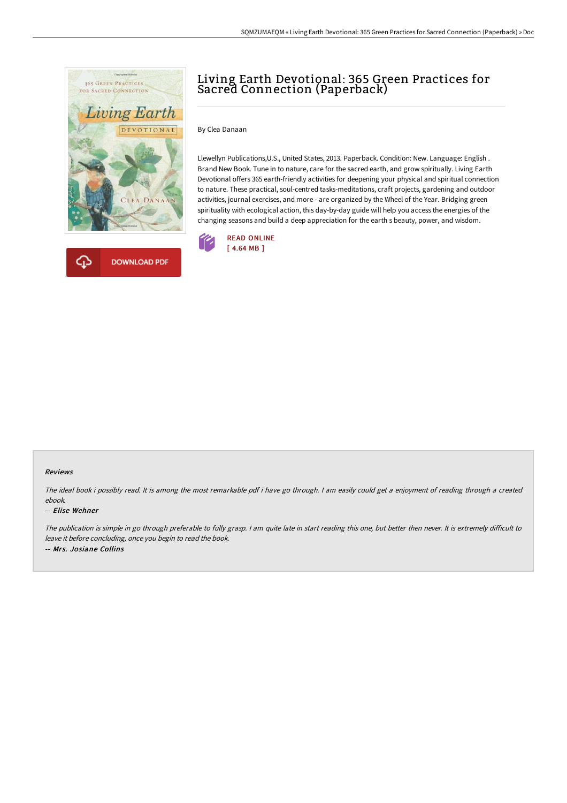



# Living Earth Devotional: 365 Green Practices for Sacred Connection (Paperback)

### By Clea Danaan

Llewellyn Publications,U.S., United States, 2013. Paperback. Condition: New. Language: English . Brand New Book. Tune in to nature, care for the sacred earth, and grow spiritually. Living Earth Devotional offers 365 earth-friendly activities for deepening your physical and spiritual connection to nature. These practical, soul-centred tasks-meditations, craft projects, gardening and outdoor activities, journal exercises, and more - are organized by the Wheel of the Year. Bridging green spirituality with ecological action, this day-by-day guide will help you access the energies of the changing seasons and build a deep appreciation for the earth s beauty, power, and wisdom.



#### Reviews

The ideal book i possibly read. It is among the most remarkable pdf i have go through. <sup>I</sup> am easily could get <sup>a</sup> enjoyment of reading through <sup>a</sup> created ebook.

#### -- Elise Wehner

The publication is simple in go through preferable to fully grasp. I am quite late in start reading this one, but better then never. It is extremely difficult to leave it before concluding, once you begin to read the book. -- Mrs. Josiane Collins